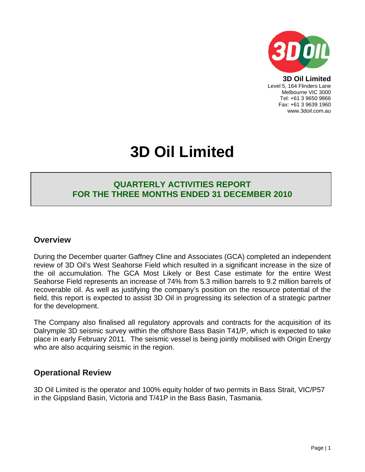

**3D Oil Limited**  Level 5, 164 Flinders Lane Melbourne VIC 3000 Tel: +61 3 9650 9866 Fax: +61 3 9639 1960 www.3doil.com.au

# **3D Oil Limited**

## **QUARTERLY ACTIVITIES REPORT FOR THE THREE MONTHS ENDED 31 DECEMBER 2010**

### **Overview**

During the December quarter Gaffney Cline and Associates (GCA) completed an independent review of 3D Oil's West Seahorse Field which resulted in a significant increase in the size of the oil accumulation. The GCA Most Likely or Best Case estimate for the entire West Seahorse Field represents an increase of 74% from 5.3 million barrels to 9.2 million barrels of recoverable oil. As well as justifying the company's position on the resource potential of the field, this report is expected to assist 3D Oil in progressing its selection of a strategic partner for the development.

The Company also finalised all regulatory approvals and contracts for the acquisition of its Dalrymple 3D seismic survey within the offshore Bass Basin T41/P, which is expected to take place in early February 2011. The seismic vessel is being jointly mobilised with Origin Energy who are also acquiring seismic in the region.

## **Operational Review**

3D Oil Limited is the operator and 100% equity holder of two permits in Bass Strait, VIC/P57 in the Gippsland Basin, Victoria and T/41P in the Bass Basin, Tasmania.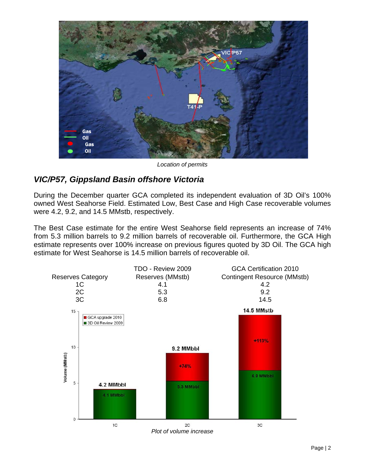

*Location of permits* 

# *VIC/P57, Gippsland Basin offshore Victoria*

During the December quarter GCA completed its independent evaluation of 3D Oil's 100% owned West Seahorse Field. Estimated Low, Best Case and High Case recoverable volumes were 4.2, 9.2, and 14.5 MMstb, respectively.

The Best Case estimate for the entire West Seahorse field represents an increase of 74% from 5.3 million barrels to 9.2 million barrels of recoverable oil. Furthermore, the GCA High estimate represents over 100% increase on previous figures quoted by 3D Oil. The GCA high estimate for West Seahorse is 14.5 million barrels of recoverable oil.

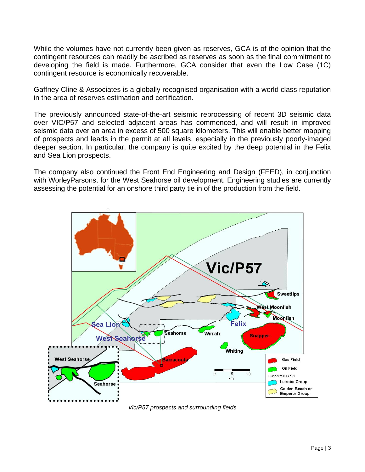While the volumes have not currently been given as reserves, GCA is of the opinion that the contingent resources can readily be ascribed as reserves as soon as the final commitment to developing the field is made. Furthermore, GCA consider that even the Low Case (1C) contingent resource is economically recoverable.

Gaffney Cline & Associates is a globally recognised organisation with a world class reputation in the area of reserves estimation and certification.

The previously announced state-of-the-art seismic reprocessing of recent 3D seismic data over VIC/P57 and selected adjacent areas has commenced, and will result in improved seismic data over an area in excess of 500 square kilometers. This will enable better mapping of prospects and leads in the permit at all levels, especially in the previously poorly-imaged deeper section. In particular, the company is quite excited by the deep potential in the Felix and Sea Lion prospects.

The company also continued the Front End Engineering and Design (FEED), in conjunction with WorleyParsons, for the West Seahorse oil development. Engineering studies are currently assessing the potential for an onshore third party tie in of the production from the field.



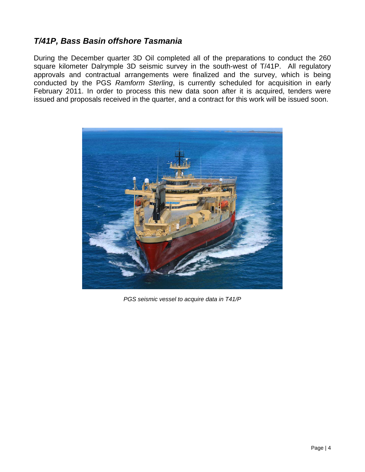# *T/41P, Bass Basin offshore Tasmania*

During the December quarter 3D Oil completed all of the preparations to conduct the 260 square kilometer Dalrymple 3D seismic survey in the south-west of T/41P. All regulatory approvals and contractual arrangements were finalized and the survey, which is being conducted by the PGS *Ramform Sterling*, is currently scheduled for acquisition in early February 2011. In order to process this new data soon after it is acquired, tenders were issued and proposals received in the quarter, and a contract for this work will be issued soon.



*PGS seismic vessel to acquire data in T41/P*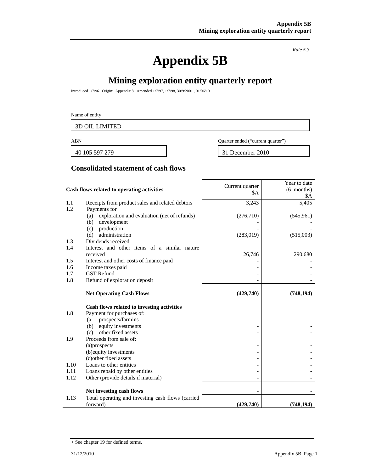# **Appendix 5B**

*Rule 5.3* 

# **Mining exploration entity quarterly report**

 $\mathbf{r}$ 

Introduced 1/7/96. Origin: Appendix 8. Amended 1/7/97, 1/7/98, 30/9/2001 , 01/06/10.

#### Name of entity

3D OIL LIMITED

40 105 597 279 31 December 2010

ABN Quarter ended ("current quarter")

#### **Consolidated statement of cash flows**

|      | Cash flows related to operating activities         | Current quarter<br>\$A | Year to date<br>$(6$ months)<br>\$Α |
|------|----------------------------------------------------|------------------------|-------------------------------------|
| 1.1  | Receipts from product sales and related debtors    | 3,243                  | 5,405                               |
| 1.2  | Payments for                                       |                        |                                     |
|      | exploration and evaluation (net of refunds)<br>(a) | (276, 710)             | (545, 961)                          |
|      | development<br>(b)                                 |                        |                                     |
|      | production<br>(c)                                  |                        |                                     |
| 1.3  | administration<br>(d)<br>Dividends received        | (283, 019)             | (515,003)                           |
| 1.4  | Interest and other items of a similar nature       |                        |                                     |
|      | received                                           | 126,746                | 290,680                             |
| 1.5  | Interest and other costs of finance paid           |                        |                                     |
| 1.6  | Income taxes paid                                  |                        |                                     |
| 1.7  | <b>GST</b> Refund                                  |                        |                                     |
| 1.8  | Refund of exploration deposit                      |                        |                                     |
|      | <b>Net Operating Cash Flows</b>                    | (429,740)              | (748, 194)                          |
|      |                                                    |                        |                                     |
|      | Cash flows related to investing activities         |                        |                                     |
| 1.8  | Payment for purchases of:                          |                        |                                     |
|      | prospects/farmins<br>(a                            |                        |                                     |
|      | equity investments<br>(b)                          |                        |                                     |
|      | other fixed assets<br>(c)                          |                        |                                     |
| 1.9  | Proceeds from sale of:                             |                        |                                     |
|      | (a) prospects                                      |                        |                                     |
|      | (b) equity investments<br>(c) other fixed assets   |                        |                                     |
| 1.10 | Loans to other entities                            |                        |                                     |
| 1.11 | Loans repaid by other entities                     |                        |                                     |
| 1.12 | Other (provide details if material)                |                        |                                     |
|      |                                                    |                        |                                     |
|      | Net investing cash flows                           |                        |                                     |
| 1.13 | Total operating and investing cash flows (carried  |                        |                                     |
|      | forward)                                           | (429,740)              | (748, 194)                          |

<sup>+</sup> See chapter 19 for defined terms.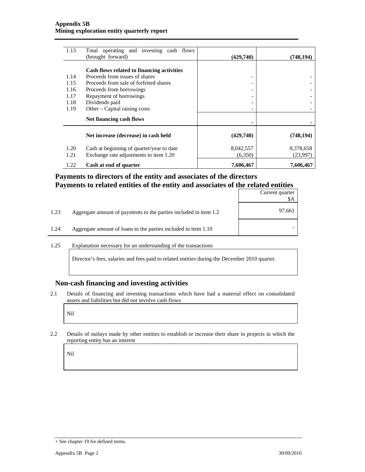| 1.13 | Total operating and investing cash flows<br>(brought forward) | (429,740) | (748, 194) |
|------|---------------------------------------------------------------|-----------|------------|
|      |                                                               |           |            |
|      | Cash flows related to financing activities                    |           |            |
| 1.14 | Proceeds from issues of shares                                | -         |            |
| 1.15 | Proceeds from sale of forfeited shares                        | -         |            |
| 1.16 | Proceeds from borrowings                                      | -         |            |
| 1.17 | Repayment of borrowings                                       | -         |            |
| 1.18 | Dividends paid                                                | -         |            |
| 1.19 | Other – Capital raising costs                                 |           |            |
|      | Net financing cash flows                                      |           |            |
|      | Net increase (decrease) in cash held                          | (429,740) | (748, 194) |
| 1.20 | Cash at beginning of quarter/year to date                     | 8,042,557 | 8,378,658  |
| 1.21 | Exchange rate adjustments to item 1.20                        | (6,350)   | (23,997)   |
| 1.22 | Cash at end of quarter                                        | 7,606,467 | 7,606,467  |

#### **Payments to directors of the entity and associates of the directors Payments to related entities of the entity and associates of the related entities**

|      |                                                                  | Current quarter<br>\$A |
|------|------------------------------------------------------------------|------------------------|
| 1.23 | Aggregate amount of payments to the parties included in item 1.2 | 97,661                 |
| 1.24 | Aggregate amount of loans to the parties included in item 1.10   |                        |

#### 1.25 Explanation necessary for an understanding of the transactions

Director's fees, salaries and fees paid to related entities during the December 2010 quarter.

#### **Non-cash financing and investing activities**

2.1 Details of financing and investing transactions which have had a material effect on consolidated assets and liabilities but did not involve cash flows

Nil

2.2 Details of outlays made by other entities to establish or increase their share in projects in which the reporting entity has an interest

Nil

<sup>+</sup> See chapter 19 for defined terms.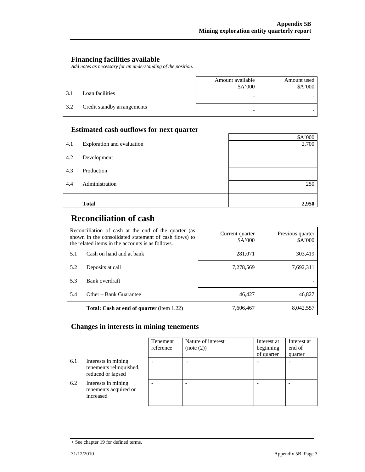#### **Financing facilities available**

*Add notes as necessary for an understanding of the position.* 

|     |                             | Amount available<br>\$A'000 | Amount used<br>\$A'000 |
|-----|-----------------------------|-----------------------------|------------------------|
| 3.1 | Loan facilities             |                             |                        |
| 3.2 | Credit standby arrangements | -                           |                        |

#### **Estimated cash outflows for next quarter**

|     |                            | \$A'000 |
|-----|----------------------------|---------|
| 4.1 | Exploration and evaluation | 2,700   |
| 4.2 | Development                |         |
| 4.3 | Production                 |         |
| 4.4 | Administration             | 250     |
|     | <b>Total</b>               | 2,950   |

# **Reconciliation of cash**

| Reconciliation of cash at the end of the quarter (as<br>shown in the consolidated statement of cash flows) to<br>the related items in the accounts is as follows. |                                                  | Current quarter<br>\$A'000 | Previous quarter<br>\$A'000 |
|-------------------------------------------------------------------------------------------------------------------------------------------------------------------|--------------------------------------------------|----------------------------|-----------------------------|
| 5.1                                                                                                                                                               | Cash on hand and at bank                         | 281,071                    | 303,419                     |
| 5.2                                                                                                                                                               | Deposits at call                                 | 7,278,569                  | 7,692,311                   |
| 5.3                                                                                                                                                               | Bank overdraft                                   |                            |                             |
| 5.4                                                                                                                                                               | Other – Bank Guarantee                           | 46,427                     | 46,827                      |
|                                                                                                                                                                   | <b>Total: Cash at end of quarter</b> (item 1.22) | 7,606,467                  | 8,042,557                   |

#### **Changes in interests in mining tenements**

|     |                                                                     | Tenement<br>reference | Nature of interest<br>(note (2)) | Interest at<br>beginning<br>of quarter | Interest at<br>end of<br>quarter |
|-----|---------------------------------------------------------------------|-----------------------|----------------------------------|----------------------------------------|----------------------------------|
| 6.1 | Interests in mining<br>tenements relinquished,<br>reduced or lapsed |                       |                                  |                                        |                                  |
| 6.2 | Interests in mining<br>tenements acquired or<br>increased           |                       |                                  |                                        |                                  |

<sup>+</sup> See chapter 19 for defined terms.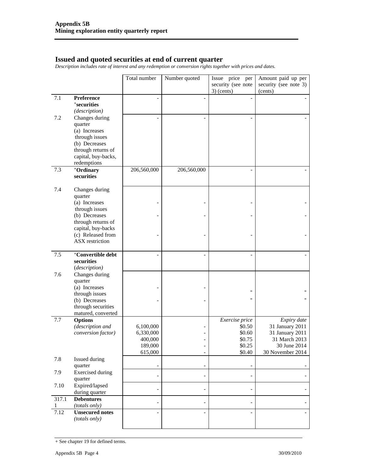#### **Issued and quoted securities at end of current quarter**

*Description includes rate of interest and any redemption or conversion rights together with prices and dates.* 

|            |                                                                                                                            | Total number                                            | Number quoted                                   | Issue price per<br>security (see note          | Amount paid up per<br>security (see note 3)                                             |
|------------|----------------------------------------------------------------------------------------------------------------------------|---------------------------------------------------------|-------------------------------------------------|------------------------------------------------|-----------------------------------------------------------------------------------------|
|            |                                                                                                                            |                                                         |                                                 | $3)$ (cents)                                   | (cents)                                                                                 |
| 7.1        | Preference<br><i><b>*securities</b></i><br>(description)                                                                   |                                                         | $\overline{a}$                                  |                                                |                                                                                         |
| 7.2        | Changes during<br>quarter<br>(a) Increases<br>through issues<br>(b) Decreases<br>through returns of<br>capital, buy-backs, |                                                         |                                                 |                                                |                                                                                         |
|            | redemptions                                                                                                                |                                                         |                                                 |                                                |                                                                                         |
| 7.3        | +Ordinary<br>securities                                                                                                    | 206,560,000                                             | 206,560,000                                     | $\overline{a}$                                 |                                                                                         |
| 7.4        | Changes during<br>quarter<br>(a) Increases                                                                                 |                                                         |                                                 |                                                |                                                                                         |
|            | through issues                                                                                                             |                                                         |                                                 |                                                |                                                                                         |
|            | (b) Decreases<br>through returns of                                                                                        |                                                         | $\overline{a}$                                  |                                                |                                                                                         |
|            | capital, buy-backs<br>(c) Released from<br>ASX restriction                                                                 |                                                         |                                                 |                                                |                                                                                         |
| 7.5        | +Convertible debt<br>securities<br>(description)                                                                           |                                                         | $\overline{a}$                                  |                                                |                                                                                         |
| 7.6        | Changes during<br>quarter<br>(a) Increases<br>through issues<br>(b) Decreases<br>through securities<br>matured, converted  |                                                         |                                                 |                                                |                                                                                         |
| 7.7        | <b>Options</b>                                                                                                             |                                                         |                                                 | Exercise price                                 | Expiry date                                                                             |
|            | (description and<br>conversion factor)                                                                                     | 6,100,000<br>6,330,000<br>400,000<br>189,000<br>615,000 | $\overline{a}$<br>۰<br>$\overline{\phantom{a}}$ | \$0.50<br>\$0.60<br>\$0.75<br>\$0.25<br>\$0.40 | 31 January 2011<br>31 January 2011<br>31 March 2013<br>30 June 2014<br>30 November 2014 |
| 7.8        | Issued during                                                                                                              |                                                         |                                                 |                                                |                                                                                         |
| 7.9        | quarter<br><b>Exercised</b> during<br>quarter                                                                              |                                                         | -<br>$\qquad \qquad \blacksquare$               | $\overline{\phantom{a}}$                       |                                                                                         |
| 7.10       | Expired/lapsed<br>during quarter                                                                                           |                                                         | $\overline{\phantom{0}}$                        |                                                |                                                                                         |
| 317.1<br>1 | <b>Debentures</b><br>(totals only)                                                                                         |                                                         | $\overline{a}$                                  |                                                |                                                                                         |
| 7.12       | <b>Unsecured notes</b><br>(totals only)                                                                                    |                                                         | $\overline{\phantom{0}}$                        |                                                |                                                                                         |

<sup>+</sup> See chapter 19 for defined terms.